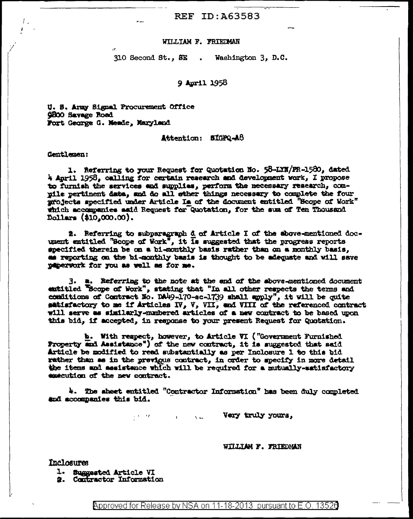# **REF ID: A63583**

### WILLIAM F. FRIEDMAN

310 Second St., SE.. Washington 3, D.C.

### 9 April 1958

U. S. Army Signal Procurement Office **9800 Savage Road** Fort George G. Mende, Maryland

 $\mathbf{r}$ 

### Attention: SIGPQ-A8

### Gentlemen:

1. Referring to your Request for Quotation No. 58-LYN/FR-1580, dated 4 April 1958, calling for certain research and development work, I propose to furnish the services and supplies, perform the necessary research, compile pertinent data, and do all other things necessary to complete the four projects specified under Article Is of the document entitled "Scope of Work" which accompanies said Request for Quotation, for the sum of Ten Thousand Dollars (\$10,000.00).

2. Referring to subparagraph d of Article I of the above-mentioned docupent entitled "Scope of Work", it Is suggested that the progress reports specified therein be on a bi-monthly basis rather than on a monthly basis, as reporting on the bi-monthly basis is thought to be adequate and will save paperwork for you as well as for me.

3. a. Referring to the note at the end of the above-mentioned document entitled "Scope of Work", stating that "In all other respects the terms and conditions of Contract No. DA49-170-sc-1739 shall apply", it will be quite satisfactory to me if Articles IV, V, VII, and VIII of the referenced contract will serve as similarly-mumbered articles of a new contract to be based upon this bid, if accepted, in response to your present Request for Quotation.

**b.** With respect, however, to Article VI ("Government Furnished Property and Assistance") of the new contract, it is suggested that said Article be modified to read substantially as per Inclosure 1 to this bid rather than as in the previous contract, in order to specify in more detail the items and assistance which will be required for a mutually-satisfactory execution of the new contract.

4. The sheet entitled "Contractor Information" has been duly completed and accompanies this bid.

 $\mathbf{A}$  and  $\mathbf{A}$  and  $\mathbf{A}$ 

Very truly yours,

#### WILLIAM F. FRIEDMAN

### Inclosures

1. Suggested Article VI

2. Contractor Information

的复数形式

Approved for Release by NSA on 11-18-2013 pursuant to E.O. 13526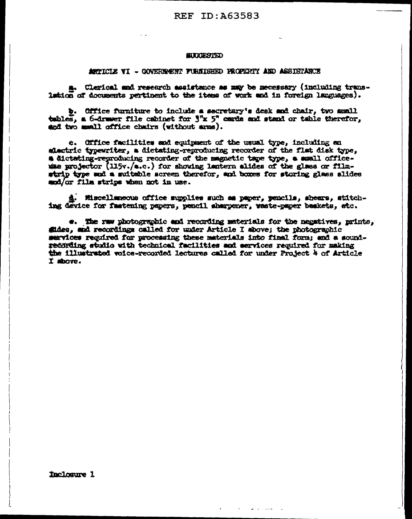#### **SURGESTED**

#### ARTICLE VI - GOVERNMENT FURNISHED FROPERTY AND ASSISTANCE

a. Clerical and research assistance as may be necessary (including translution of documents pertinent to the items of work and in foreign languages).

b. Office furniture to include a secretary's desk and chair, two amall tables, a 6-drawer file cabinet for  $5^{\circ}x$  5" cards and stand or table therefor, and two mmall office chairs (without arms).

e. Office facilities and equipment of the usual type, including an slactric typewriter, a dictating-reproducing recorder of the flat disk type, # dictating-reproducing recorder of the magnetic tape type, a small officeuse projector (115v./a.c.) for showing lantern alides of the glass or filmstrip type and a suitable screen therefor, and boxes for storing glass alides mod/or film strips when not in use.

Miscellaneous office supplies such as paper, pencils, shears, stitching device for fastening papers, pencil sharpener, waste-paper baskets, etc.

«. The raw photographic and recording materials for the negatives, prints, fides, and recordings called for under Article I shove; the photographic sarvices required for processing these materials into final form; and a soundrecording studio with technical facilities and acryices required for making the illustrated voice-recorded lectures called for under Project 4 of Article I shove.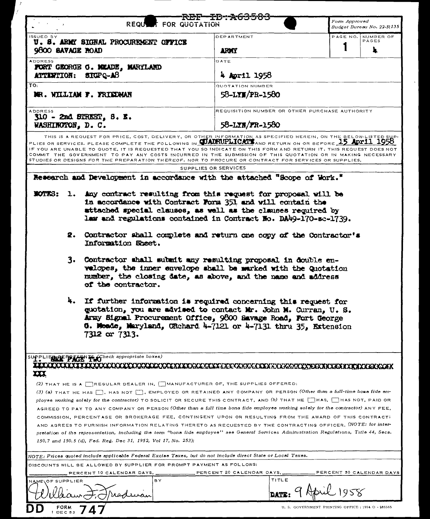|                                                                     | REQUANT FOR QUOTATION                                                                                                                                                                                                                                                                                                                                                                                                                                                                                                                                                                           |                      | REF—ID-A63583                                                    |                                                    | Form Approved |                           |
|---------------------------------------------------------------------|-------------------------------------------------------------------------------------------------------------------------------------------------------------------------------------------------------------------------------------------------------------------------------------------------------------------------------------------------------------------------------------------------------------------------------------------------------------------------------------------------------------------------------------------------------------------------------------------------|----------------------|------------------------------------------------------------------|----------------------------------------------------|---------------|---------------------------|
|                                                                     |                                                                                                                                                                                                                                                                                                                                                                                                                                                                                                                                                                                                 |                      |                                                                  |                                                    |               | Budget Bureau No. 22-R135 |
| ISSUED BY<br>9800 BAVAGE ROAD                                       | U. S. ARMY SIGNAL PROCUREMENT OFFICE                                                                                                                                                                                                                                                                                                                                                                                                                                                                                                                                                            |                      | DEPARTMENT<br><b>TIGU</b>                                        |                                                    | PAGE NO.      | NUMBER OF<br>PAGES        |
| <b>ADDRESS</b><br>ATTENTION: SIGPQ-AB                               | FORT GEORGE G. MEADE, MARYLAND                                                                                                                                                                                                                                                                                                                                                                                                                                                                                                                                                                  |                      | DATE<br>4 April 1958                                             |                                                    |               |                           |
| TO:                                                                 |                                                                                                                                                                                                                                                                                                                                                                                                                                                                                                                                                                                                 |                      | <b>QUOTATION NUMBER</b>                                          |                                                    |               |                           |
|                                                                     | NR. WILLIAM F. FRIEDMAN                                                                                                                                                                                                                                                                                                                                                                                                                                                                                                                                                                         |                      | 58-LYN/PR-1580                                                   |                                                    |               |                           |
| <b>ADDRESS</b><br>$$10 - 2nd$ STREET, $8. R$ .<br>WASHINGTON, D. C. |                                                                                                                                                                                                                                                                                                                                                                                                                                                                                                                                                                                                 |                      | REQUISITION NUMBER OR OTHER PURCHASE AUTHORITY<br>58-LXN/FR-1580 |                                                    |               |                           |
|                                                                     | THIS IS A REQUEST FOR PRICE, COST, DELIVERY, OR OTHER INFORMATION AS SPECIFIED HEREIN, ON THE BELOW-LISTED SUP-<br>PLIES OR SERVICES. PLEASE COMPLETE THE FOLLOWING IN <b>CUAURUPLICATS</b> AND RETURN ON OR BEFORE 15 Apr11 1958<br>IF YOU ARE UNABLE TO QUOTE, IT IS REQUESTED THAT YOU SO INDICATE ON THIS FORM AND RETURN IT, THIS REQUEST DOES NOT<br>COMMIT THE GOVERNMENT TO PAY ANY COSTS INCURRED IN THE SUBMISSION OF THIS QUOTATION OR IN MAKING NECESSARY<br>STUDIES OR DESIGNS FOR THE PREPARATION THEREOF. NOR TO PROCURE OR CONTRACT FOR SERVICES OR SUPPLIES,                   | SUPPLIES OR SERVICES |                                                                  |                                                    |               |                           |
|                                                                     | Research and Development in accordance with the attached "Scope of Work."                                                                                                                                                                                                                                                                                                                                                                                                                                                                                                                       |                      |                                                                  |                                                    |               |                           |
| <b>KATES 5</b><br>$\mathbf{L}$ .<br>2.<br>3.                        | Any contract resulting from this request for proposal will be<br>in accordance with Contract Form 351 and will contain the<br>attached special clauses, as well as the clauses required by<br>law and regulations contained in Contract No. DA49-170-sc-1739.<br>Contractor shall complete and return one copy of the Contractor's<br>Information Sheet.<br>Contractor shall submit any resulting proposal in double en-<br>velopes, the inner envelope shall be warked with the Quotation<br>mumber, the closing date, as above, and the name and address                                      |                      |                                                                  |                                                    |               |                           |
| 4.                                                                  | of the contractor.<br>If further information is required concerning this request for<br>guotation, you are advised to contact Mr. John M. Curran, U. S.<br>Army Signal Procurement Office, 9800 Savage Road, Fort George<br>6. Mosde, Maryland, CRehard 4-7121 or 4-7131 thru 35, Extension<br>7312 or 7313.                                                                                                                                                                                                                                                                                    |                      |                                                                  |                                                    |               |                           |
| Տ∪†բ∟<br>Щ.                                                         | <b>IERRE PESSINTS (Check appropriate boxes)</b><br>(2) THAT HE IS A REGULAR DEALER IN, MANUFACTURER OF, THE SUPPLIES OFFERED;                                                                                                                                                                                                                                                                                                                                                                                                                                                                   |                      |                                                                  |                                                    |               |                           |
|                                                                     | (3) (a) THAT HE HAS MOT [], EMPLOYED OR RETAINED ANY COMPANY OR PERSON (Other than a full-time bona fide em-<br>ployee working solely for the contractor) TO SOLICIT OR SECURE THIS CONTRACT, AND (b) THAT HE HAS, HAS NOT, PAID OR<br>AGREED TO PAY TO ANY COMPANY OR PERSON (Other than a full time bona fide employee working solely for the contractor) ANY FEE.<br>COMMISSION, PERCENTAGE OR BROKERAGE FEE, CONTINGENT UPON OR RESULTING FROM THE AWARD OF THIS CONTRACT;<br>AND AGREES TO FURNISH INFORMATION RELATING THERETO AS REQUESTED BY THE CONTRACTING OFFICER. (NOTE: for inter- |                      |                                                                  |                                                    |               |                           |
|                                                                     | pretation of the representation, including the term "bona fide employee" see General Services Administration Regulations, Title 44, Secs.<br>150.7 and 150.5 (d), Fed. Reg. Dec 31, 1952, Vol 17, No. 253);                                                                                                                                                                                                                                                                                                                                                                                     |                      |                                                                  |                                                    |               |                           |
|                                                                     | NOTE: Prices quoted include applicable Federal Excise Taxes, but do not include direct State or Local Taxes.                                                                                                                                                                                                                                                                                                                                                                                                                                                                                    |                      |                                                                  |                                                    |               |                           |
|                                                                     | DISCOUNTS WILL BE ALLOWED BY SUPPLIER FOR PROMPT PAYMENT AS FOLLOWS:                                                                                                                                                                                                                                                                                                                                                                                                                                                                                                                            |                      |                                                                  |                                                    |               |                           |
| NAME OF SUPPLIER                                                    | PERCENT 10 CALENDAR DAYS,<br>BY                                                                                                                                                                                                                                                                                                                                                                                                                                                                                                                                                                 |                      | PERCENT 20 CALENDAR DAYS,                                        | TITLE                                              | 1958          | PERCENT 30 CALENDAR DAYS  |
| $1$ DEC 53                                                          |                                                                                                                                                                                                                                                                                                                                                                                                                                                                                                                                                                                                 |                      |                                                                  | U. S. GOVERNMENT PRINTING OFFICE : 1954 O - 285565 |               |                           |

 $t^{\prime}$ 

r.

 $\mathcal{C}$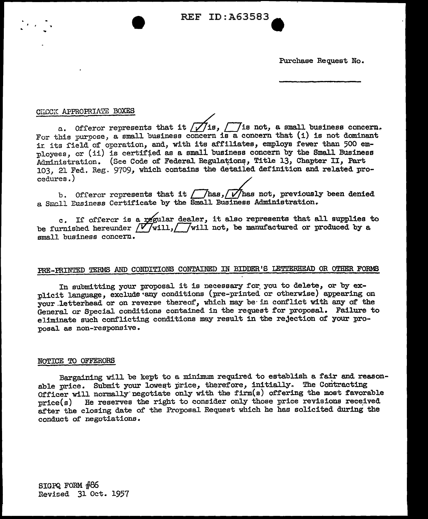REF ID: A63583.

Purchase Request No.

### CHICCK APPROPRIATE BOXES

a. Offeror represents that it  $\overline{f}$  is,  $\overline{f}$  is not, a small business concern.<br>For this purpose, a small business concern is a concern that (i) is not dominant ir. its field of operation, and, with its affiliates, employs fewer than 500 employees, or (ii) is certified as a small business concern by the Small Business Administration. (See Code of Federal Regulations, Title 13, Chapter II, Part 103, 21 Fed. Reg. 9709, which contains the detailed definition and related procedures.) /

b. Offeror represents that it  $\sqrt{\frac{h_{\text{max}}}{h_{\text{max}}}}$  has not, previously been denied a Small Eusiness Certificate by the Small Business Administration.

c. If offerer is a regular dealer, it also represents that all supplies to be furnished hereunder  $\sqrt{V}$  will,  $\sqrt{V}$  will not, be manufactured or produced by a small business concern.

# PRE-PRINTED TERMS AND CONDITIONS CONTAINED IN BIDDER'S LETTERHEAD OR OTHER FORMS

In submitting your proposal it is necessary for you to delete, or by explicit language, exclude any conditions (pre-printed or otherwise) appearing on your letterhead or on reverse thereof, which may be in conflict with any of the General or Special conditions contained in the request for proposal. Failure to eliminate such conflicting conditions may result in the rejection of your proposal as non-responsive.

### NOTICE TO OFFERORS

Bargaining will be kept to a minimum required to establish a fair and reasonable price. Submit your lowest price, therefore, initially. The Contracting Officer will normally· negotiate only with the firm(s) offering the most favorable  $price(s)$  He reserves the right to consider only those price revisions received after the closing date of the Proposal Request which he has solicited during the conduct of negotiations.

SIGPQ FORM *#e£,*  Revised 31 Oct. 1957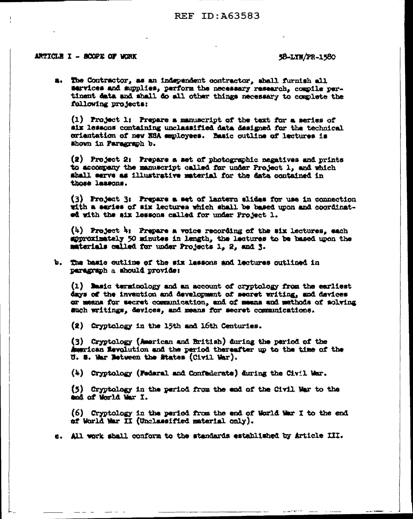## **REF ID: A63583**

### ARTICLE I - BOOPE OF WORK

### 58-LYN/PR-1580

a. The Contractor, as an independent contractor, shall furnish all services and supplies, perform the necessary research, compile pertinent data and shall do all other things necessary to complete the following projects:

(1) Project 1: Prepare a manuscript of the text for a series of six lessons containing unclassified data designed for the technical crientation of new NSA employees. Basic outline of lectures is Shown in Paragraph b.

(2) Project 2: Prepare a set of photographic negatives and prints to accompany the manuscript called for under Project 1, and which shall serve as illustrative material for the data contained in those lessons.

(3) Project 3: Prepare a set of lantern slides for use in connection with a series of six lectures which shall be based upon and coordinated with the six lessons called for under Project 1.

(4) Project 4: Prepare a voice recording of the six lectures, each suproximately 50 minutes in length, the lectures to be based upon the materials called for under Projects 1, 2, and 3.

b. The basic outline of the six lessons and lectures outlined in paragraph a should provide:

(1) Masic terminology and an account of cryptology from the earliest days of the invention and development of secret writing, and devices or meens for secret communication, and of means and mathods of solving such writings, devices, and means for secret communications.

(2) Cryptology in the 15th and 16th Centuries.

(3) Cryptology (American and British) during the period of the American Revolution and the period thereafter up to the time of the U. S. War Between the States (Civil War).

(4) Cryptology (Federal and Confederate) during the Civil War.

(5) Cryptology in the period from the end of the Civil War to the and of World War I.

(6) Cryptology in the period from the end of World War I to the end af World Mar II (Unclassified material only).

e. All work sball conform to the standards established by Article III.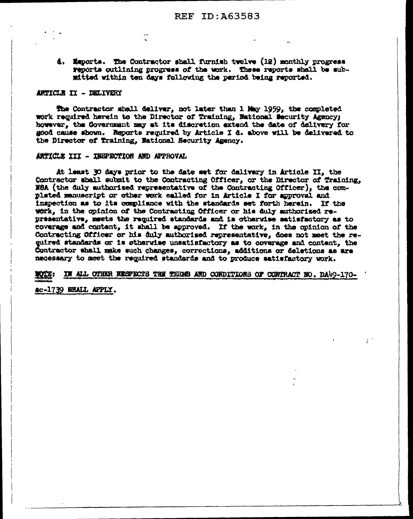4. Maports. The Contractor shall furnish twelve (12) monthly progress reports outlining progress of the work. These reports shall be submitted within ten days following the period being reported.

## ARTICLE II - DELIVERY

The Contractor shall deliver, not later than 1 May 1959, the completed work required herein to the Director of Training, National Security Agency; however, the Government may at its discretion extend the date of delivery for good cause shown. Reports required by Article I d. above will be delivered to the Director of Training, National Security Agency.

### ARTICLE III - INEPECTION AND APPROVAL

At least 30 days prior to the date set for dalivery in Article II, the Contractor shall submit to the Contracting Officer, or the Director of Training. NBA (the duly authorized representative of the Contracting Officer), the complated manuscript or other work called for in Article I for approval and inspection as to its compliance with the standards set forth herein. If the work, in the opinion of the Contracting Officer or his duly authorized representative, meets the required standards and is otherwise satisfactory as to coverage and content, it shall be approved. If the work, in the opinion of the Contracting Officer or his duly authorised representative, does not meet the required standards or is otherwise unsatisfactory as to coverage and content, the Contractor whall make such changes, corrections, additions or deletions as are necessary to meet the required standards and to produce satisfactory work.

IN ALL OTHER RESPECTS THE TERMS AND CONDITIONS OF CONTRACT HO. DA49-170-

ac-1739 SHALL APPLY.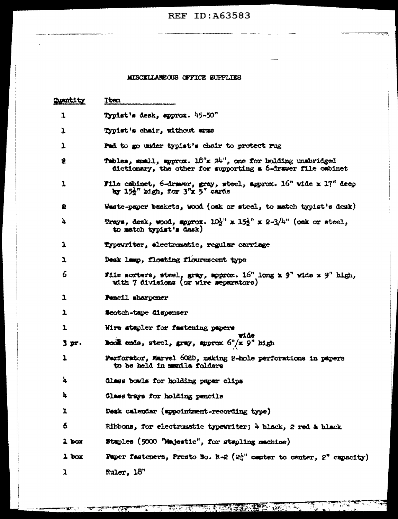# **REF ID:A63583**

 $\rightarrow$ 

المستنادان والمنابذ والمستد

 $\overline{a}$ 

# MISCELLANEOUS OFFICE SUPPLIES

 $\frac{1}{2} \frac{1}{2} \frac{1}{2} \frac{1}{2} \frac{1}{2} \frac{1}{2} \frac{1}{2} \frac{1}{2} \frac{1}{2} \frac{1}{2} \frac{1}{2} \frac{1}{2} \frac{1}{2} \frac{1}{2} \frac{1}{2} \frac{1}{2} \frac{1}{2} \frac{1}{2} \frac{1}{2} \frac{1}{2} \frac{1}{2} \frac{1}{2} \frac{1}{2} \frac{1}{2} \frac{1}{2} \frac{1}{2} \frac{1}{2} \frac{1}{2} \frac{1}{2} \frac{1}{2} \frac{1}{2} \frac{$ 

 $\sim$ 

| <b>Quantity</b>         | Item                                                                                                                                |  |  |  |
|-------------------------|-------------------------------------------------------------------------------------------------------------------------------------|--|--|--|
| 1                       | Typist's desk, spprox. 45-50"                                                                                                       |  |  |  |
| 1                       | Typist's chair, without smms                                                                                                        |  |  |  |
| 1                       | Pad to go under typist's chair to protect rug                                                                                       |  |  |  |
| 倉                       | Tables, small, spprox. $18^n$ x $24^n$ , one for holding unabridged<br>dictionary, the other for supporting a 6-drawer file cabinet |  |  |  |
| 1                       | File cabinet, 6-drawer, gray, steel, approx. $16^n$ wide x $17^n$ deep<br>by 15 <sup>2</sup> high, for 3"x 5" cards                 |  |  |  |
| 욠                       | Weste-paper baskets, wood (oak or steel, to match typist's desk)                                                                    |  |  |  |
| 4                       | Trays, desk, wood, spprox. $10\frac{1}{2}$ " x $15\frac{1}{2}$ " x $2-3/\frac{1}{2}$ " (oak or steel,<br>to match typist's desk)    |  |  |  |
| 1                       | Typewriter, electromatic, regular carriage                                                                                          |  |  |  |
| 1                       | Deak lamp, floating flourescent type                                                                                                |  |  |  |
| 6                       | File sorters, steel, gray, moprox. $16^n$ long x 9" wide x 9" high,<br>with 7 divisions (or wire separators)                        |  |  |  |
| ı                       | Pencil sharpener                                                                                                                    |  |  |  |
| 1                       | <b>Neotch-tape dispenser</b>                                                                                                        |  |  |  |
| ı                       | Wire stepler for fastening papers                                                                                                   |  |  |  |
| . דע 3                  | ride<br><b>Book</b> ends, steel, gray, approx $6^n/x$ 9" high                                                                       |  |  |  |
| $\overline{\mathbf{r}}$ | Farforstor, Marvel 60HD, making 2-hole perforations in papers<br>to be held in mentla folders                                       |  |  |  |
| 4                       | Glass bowls for holding paper clips                                                                                                 |  |  |  |
| 4                       | Glass trays for holding pencils                                                                                                     |  |  |  |
| 1                       | Desk calendar (sppointment-recording type)                                                                                          |  |  |  |
| 6.                      | Bibbons, for electronstic typewriter; 4 black, 2 red & black                                                                        |  |  |  |
| $2$ box                 | Staples (5000 "Majestic", for stapling machine)                                                                                     |  |  |  |
| $1$ box                 | Paper fasteners, Fresto No. R-2 $(2^{\lambda}_{1}$ center to center, 2" capacity)                                                   |  |  |  |
| ı                       | Ruler, 18"                                                                                                                          |  |  |  |